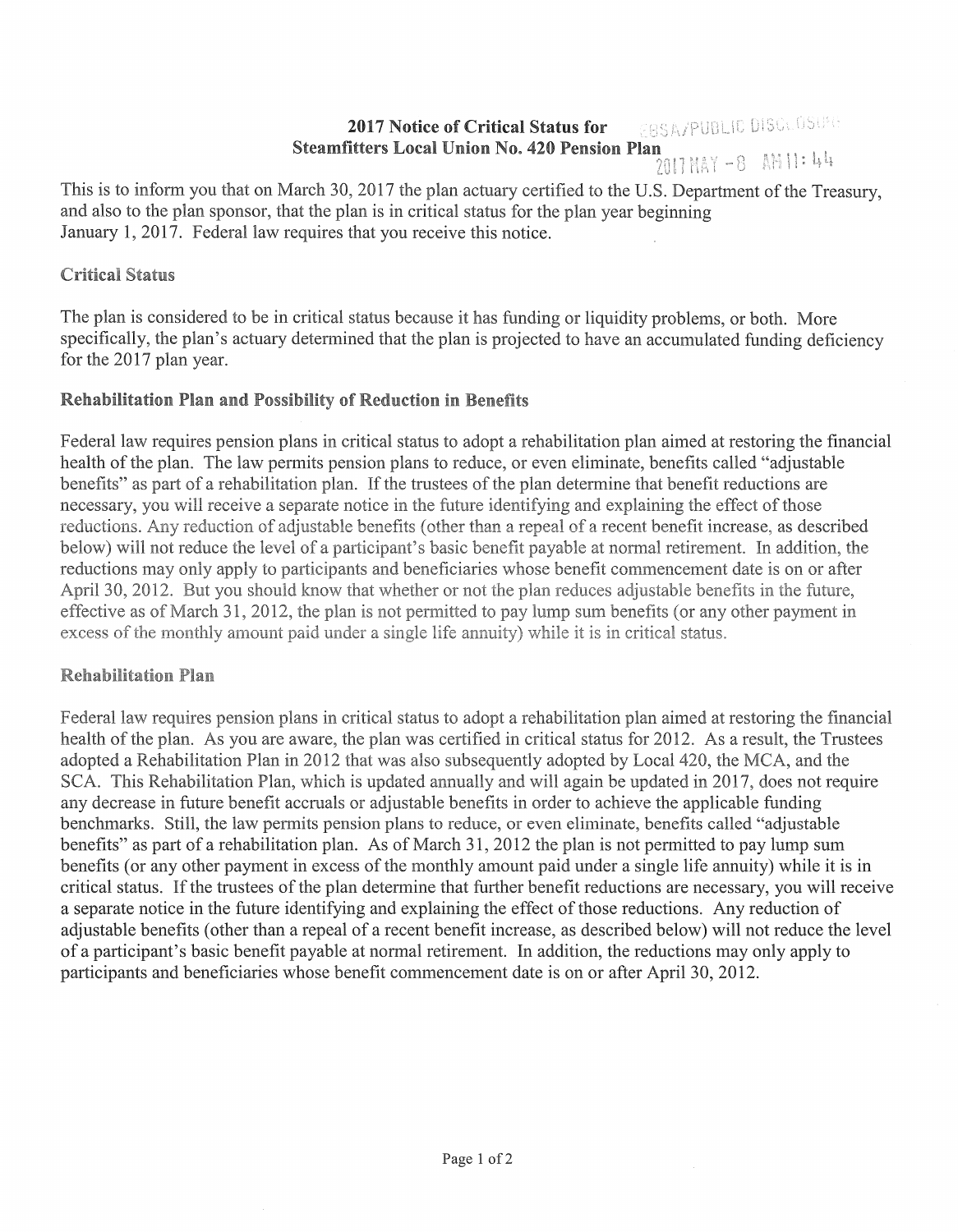#### EBSA/PUBLIC DISCLOSURE 2017 Notice of Critical Status for Steamfitters Local Union No. 420 Pension Plan<br>2011 May -8 AMII: 4,4

This is to inform you that on March 30, 2017 the plan actuary certified to the U.S. Department of the Treasury, and also to the plan sponsor, that the plan is in critical status for the plan year beginning January 1, 2017. Federal law requires that you receive this notice.

### **Critical Status**

The plan is considered to be in critical status because it has funding or liquidity problems, or both. More specifically, the plan's actuary determined that the plan is projected to have an accumulated funding deficiency for the 2017 plan year.

# Rehabilitation Plan and Possibility of Reduction in Benefits

Federal law requires pension plans in critical status to adopt a rehabilitation plan aimed at restoring the financial health of the plan. The law permits pension plans to reduce, or even eliminate, benefits called "adjustable benefits" as part of a rehabilitation plan. If the trustees of the plan determine that benefit reductions are necessary, you will receive a separate notice in the future identifying and explaining the effect of those reductions. Any reduction of adjustable benefits (other than a repeal of a recent benefit increase, as described below) will not reduce the level of a participant's basic benefit payable at normal retirement. In addition, the reductions may only apply to participants and beneficiaries whose benefit commencement date is on or after April 30, 2012. But you should know that whether or not the plan reduces adjustable benefits in the future, effective as of March 31, 2012, the plan is not permitted to pay lump sum benefits (or any other payment in excess of the monthly amount paid under a single life annuity) while it is in critical status.

#### **Rehabilitation Plan**

Federal law requires pension plans in critical status to adopt a rehabilitation plan aimed at restoring the financial health of the plan. As you are aware, the plan was certified in critical status for 2012. As a result, the Trustees adopted a Rehabilitation Plan in 2012 that was also subsequently adopted by Local 420, the MCA, and the SCA. This Rehabilitation Plan, which is updated annually and will again be updated in 2017, does not require any decrease in future benefit accruals or adjustable benefits in order to achieve the applicable funding benchmarks. Still, the law pennits pension plans to reduce, or even eliminate, benefits called "adjustable benefits" as part of a rehabilitation plan. As of March 31, 2012 the plan is not permitted to pay lump sum benefits (or any other payment in excess of the monthly amount paid under a single life annuity) while it is in critical status. If the trustees of the plan determine that further benefit reductions are necessary, you will receive a separate notice in the future identifying and explaining the effect of those reductions. Any reduction of adjustable benefits (other than a repeal of a recent benefit increase, as described below) will not reduce the level of a participant's basic benefit payable at normal retirement. In addition, the reductions may only apply to participants and beneficiaries whose benefit commencement date is on or after April 30, 2012.